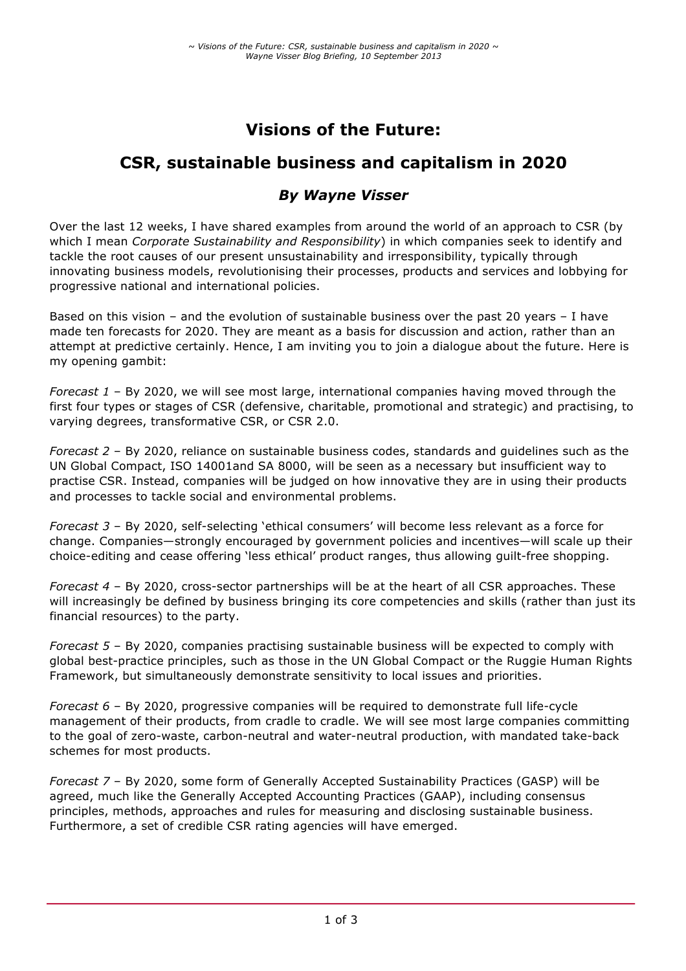# **Visions of the Future:**

# **CSR, sustainable business and capitalism in 2020**

## *By Wayne Visser*

Over the last 12 weeks, I have shared examples from around the world of an approach to CSR (by which I mean *Corporate Sustainability and Responsibility*) in which companies seek to identify and tackle the root causes of our present unsustainability and irresponsibility, typically through innovating business models, revolutionising their processes, products and services and lobbying for progressive national and international policies.

Based on this vision – and the evolution of sustainable business over the past 20 years – I have made ten forecasts for 2020. They are meant as a basis for discussion and action, rather than an attempt at predictive certainly. Hence, I am inviting you to join a dialogue about the future. Here is my opening gambit:

*Forecast 1* – By 2020, we will see most large, international companies having moved through the first four types or stages of CSR (defensive, charitable, promotional and strategic) and practising, to varying degrees, transformative CSR, or CSR 2.0.

*Forecast 2* – By 2020, reliance on sustainable business codes, standards and guidelines such as the UN Global Compact, ISO 14001and SA 8000, will be seen as a necessary but insufficient way to practise CSR. Instead, companies will be judged on how innovative they are in using their products and processes to tackle social and environmental problems.

*Forecast 3* – By 2020, self-selecting 'ethical consumers' will become less relevant as a force for change. Companies—strongly encouraged by government policies and incentives—will scale up their choice-editing and cease offering 'less ethical' product ranges, thus allowing guilt-free shopping.

*Forecast 4* – By 2020, cross-sector partnerships will be at the heart of all CSR approaches. These will increasingly be defined by business bringing its core competencies and skills (rather than just its financial resources) to the party.

*Forecast 5* – By 2020, companies practising sustainable business will be expected to comply with global best-practice principles, such as those in the UN Global Compact or the Ruggie Human Rights Framework, but simultaneously demonstrate sensitivity to local issues and priorities.

*Forecast 6* – By 2020, progressive companies will be required to demonstrate full life-cycle management of their products, from cradle to cradle. We will see most large companies committing to the goal of zero-waste, carbon-neutral and water-neutral production, with mandated take-back schemes for most products.

*Forecast 7* – By 2020, some form of Generally Accepted Sustainability Practices (GASP) will be agreed, much like the Generally Accepted Accounting Practices (GAAP), including consensus principles, methods, approaches and rules for measuring and disclosing sustainable business. Furthermore, a set of credible CSR rating agencies will have emerged.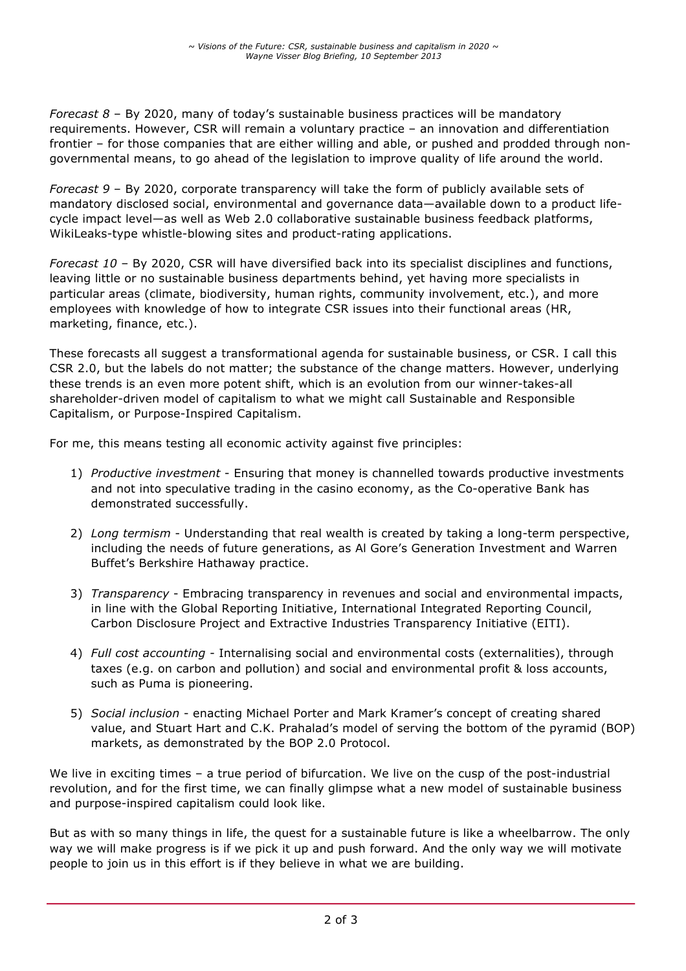*Forecast 8* – By 2020, many of today's sustainable business practices will be mandatory requirements. However, CSR will remain a voluntary practice – an innovation and differentiation frontier – for those companies that are either willing and able, or pushed and prodded through nongovernmental means, to go ahead of the legislation to improve quality of life around the world.

*Forecast 9* – By 2020, corporate transparency will take the form of publicly available sets of mandatory disclosed social, environmental and governance data—available down to a product lifecycle impact level—as well as Web 2.0 collaborative sustainable business feedback platforms, WikiLeaks-type whistle-blowing sites and product-rating applications.

*Forecast 10* – By 2020, CSR will have diversified back into its specialist disciplines and functions, leaving little or no sustainable business departments behind, yet having more specialists in particular areas (climate, biodiversity, human rights, community involvement, etc.), and more employees with knowledge of how to integrate CSR issues into their functional areas (HR, marketing, finance, etc.).

These forecasts all suggest a transformational agenda for sustainable business, or CSR. I call this CSR 2.0, but the labels do not matter; the substance of the change matters. However, underlying these trends is an even more potent shift, which is an evolution from our winner-takes-all shareholder-driven model of capitalism to what we might call Sustainable and Responsible Capitalism, or Purpose-Inspired Capitalism.

For me, this means testing all economic activity against five principles:

- 1) *Productive investment* Ensuring that money is channelled towards productive investments and not into speculative trading in the casino economy, as the Co-operative Bank has demonstrated successfully.
- 2) *Long termism* Understanding that real wealth is created by taking a long-term perspective, including the needs of future generations, as Al Gore's Generation Investment and Warren Buffet's Berkshire Hathaway practice.
- 3) *Transparency* Embracing transparency in revenues and social and environmental impacts, in line with the Global Reporting Initiative, International Integrated Reporting Council, Carbon Disclosure Project and Extractive Industries Transparency Initiative (EITI).
- 4) *Full cost accounting* Internalising social and environmental costs (externalities), through taxes (e.g. on carbon and pollution) and social and environmental profit & loss accounts, such as Puma is pioneering.
- 5) *Social inclusion* enacting Michael Porter and Mark Kramer's concept of creating shared value, and Stuart Hart and C.K. Prahalad's model of serving the bottom of the pyramid (BOP) markets, as demonstrated by the BOP 2.0 Protocol.

We live in exciting times – a true period of bifurcation. We live on the cusp of the post-industrial revolution, and for the first time, we can finally glimpse what a new model of sustainable business and purpose-inspired capitalism could look like.

But as with so many things in life, the quest for a sustainable future is like a wheelbarrow. The only way we will make progress is if we pick it up and push forward. And the only way we will motivate people to join us in this effort is if they believe in what we are building.